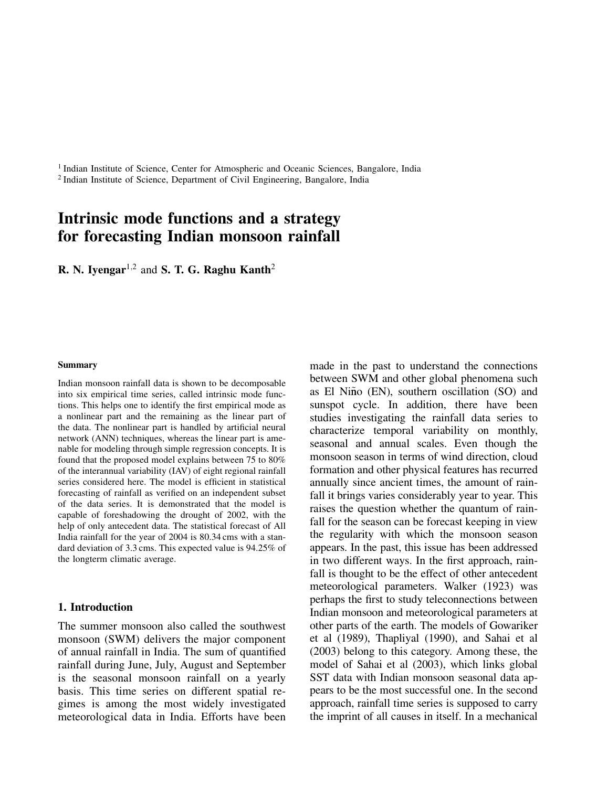<sup>1</sup> Indian Institute of Science, Center for Atmospheric and Oceanic Sciences, Bangalore, India <sup>2</sup> Indian Institute of Science, Department of Civil Engineering, Bangalore, India

# Intrinsic mode functions and a strategy for forecasting Indian monsoon rainfall

**R. N. Iyengar**<sup>1,2</sup> and **S. T. G. Raghu Kanth**<sup>2</sup>

#### Summary

Indian monsoon rainfall data is shown to be decomposable into six empirical time series, called intrinsic mode functions. This helps one to identify the first empirical mode as a nonlinear part and the remaining as the linear part of the data. The nonlinear part is handled by artificial neural network (ANN) techniques, whereas the linear part is amenable for modeling through simple regression concepts. It is found that the proposed model explains between 75 to 80% of the interannual variability (IAV) of eight regional rainfall series considered here. The model is efficient in statistical forecasting of rainfall as verified on an independent subset of the data series. It is demonstrated that the model is capable of foreshadowing the drought of 2002, with the help of only antecedent data. The statistical forecast of All India rainfall for the year of 2004 is 80.34 cms with a standard deviation of 3.3 cms. This expected value is 94.25% of the longterm climatic average.

#### 1. Introduction

The summer monsoon also called the southwest monsoon (SWM) delivers the major component of annual rainfall in India. The sum of quantified rainfall during June, July, August and September is the seasonal monsoon rainfall on a yearly basis. This time series on different spatial regimes is among the most widely investigated meteorological data in India. Efforts have been made in the past to understand the connections between SWM and other global phenomena such as El Niño (EN), southern oscillation  $(SO)$  and sunspot cycle. In addition, there have been studies investigating the rainfall data series to characterize temporal variability on monthly, seasonal and annual scales. Even though the monsoon season in terms of wind direction, cloud formation and other physical features has recurred annually since ancient times, the amount of rainfall it brings varies considerably year to year. This raises the question whether the quantum of rainfall for the season can be forecast keeping in view the regularity with which the monsoon season appears. In the past, this issue has been addressed in two different ways. In the first approach, rainfall is thought to be the effect of other antecedent meteorological parameters. Walker (1923) was perhaps the first to study teleconnections between Indian monsoon and meteorological parameters at other parts of the earth. The models of Gowariker et al (1989), Thapliyal (1990), and Sahai et al (2003) belong to this category. Among these, the model of Sahai et al (2003), which links global SST data with Indian monsoon seasonal data appears to be the most successful one. In the second approach, rainfall time series is supposed to carry the imprint of all causes in itself. In a mechanical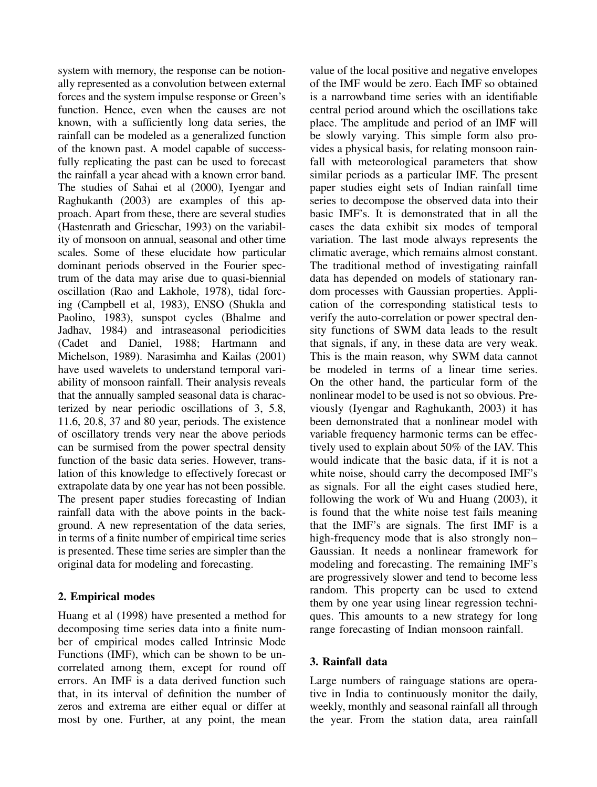system with memory, the response can be notionally represented as a convolution between external forces and the system impulse response or Green's function. Hence, even when the causes are not known, with a sufficiently long data series, the rainfall can be modeled as a generalized function of the known past. A model capable of successfully replicating the past can be used to forecast the rainfall a year ahead with a known error band. The studies of Sahai et al (2000), Iyengar and Raghukanth (2003) are examples of this approach. Apart from these, there are several studies (Hastenrath and Grieschar, 1993) on the variability of monsoon on annual, seasonal and other time scales. Some of these elucidate how particular dominant periods observed in the Fourier spectrum of the data may arise due to quasi-biennial oscillation (Rao and Lakhole, 1978), tidal forcing (Campbell et al, 1983), ENSO (Shukla and Paolino, 1983), sunspot cycles (Bhalme and Jadhav, 1984) and intraseasonal periodicities (Cadet and Daniel, 1988; Hartmann and Michelson, 1989). Narasimha and Kailas (2001) have used wavelets to understand temporal variability of monsoon rainfall. Their analysis reveals that the annually sampled seasonal data is characterized by near periodic oscillations of 3, 5.8, 11.6, 20.8, 37 and 80 year, periods. The existence of oscillatory trends very near the above periods can be surmised from the power spectral density function of the basic data series. However, translation of this knowledge to effectively forecast or extrapolate data by one year has not been possible. The present paper studies forecasting of Indian rainfall data with the above points in the background. A new representation of the data series, in terms of a finite number of empirical time series is presented. These time series are simpler than the original data for modeling and forecasting.

## 2. Empirical modes

Huang et al (1998) have presented a method for decomposing time series data into a finite number of empirical modes called Intrinsic Mode Functions (IMF), which can be shown to be uncorrelated among them, except for round off errors. An IMF is a data derived function such that, in its interval of definition the number of zeros and extrema are either equal or differ at most by one. Further, at any point, the mean

value of the local positive and negative envelopes of the IMF would be zero. Each IMF so obtained is a narrowband time series with an identifiable central period around which the oscillations take place. The amplitude and period of an IMF will be slowly varying. This simple form also provides a physical basis, for relating monsoon rainfall with meteorological parameters that show similar periods as a particular IMF. The present paper studies eight sets of Indian rainfall time series to decompose the observed data into their basic IMF's. It is demonstrated that in all the cases the data exhibit six modes of temporal variation. The last mode always represents the climatic average, which remains almost constant. The traditional method of investigating rainfall data has depended on models of stationary random processes with Gaussian properties. Application of the corresponding statistical tests to verify the auto-correlation or power spectral density functions of SWM data leads to the result that signals, if any, in these data are very weak. This is the main reason, why SWM data cannot be modeled in terms of a linear time series. On the other hand, the particular form of the nonlinear model to be used is not so obvious. Previously (Iyengar and Raghukanth, 2003) it has been demonstrated that a nonlinear model with variable frequency harmonic terms can be effectively used to explain about 50% of the IAV. This would indicate that the basic data, if it is not a white noise, should carry the decomposed IMF's as signals. For all the eight cases studied here, following the work of Wu and Huang (2003), it is found that the white noise test fails meaning that the IMF's are signals. The first IMF is a high-frequency mode that is also strongly non– Gaussian. It needs a nonlinear framework for modeling and forecasting. The remaining IMF's are progressively slower and tend to become less random. This property can be used to extend them by one year using linear regression techniques. This amounts to a new strategy for long range forecasting of Indian monsoon rainfall.

### 3. Rainfall data

Large numbers of rainguage stations are operative in India to continuously monitor the daily, weekly, monthly and seasonal rainfall all through the year. From the station data, area rainfall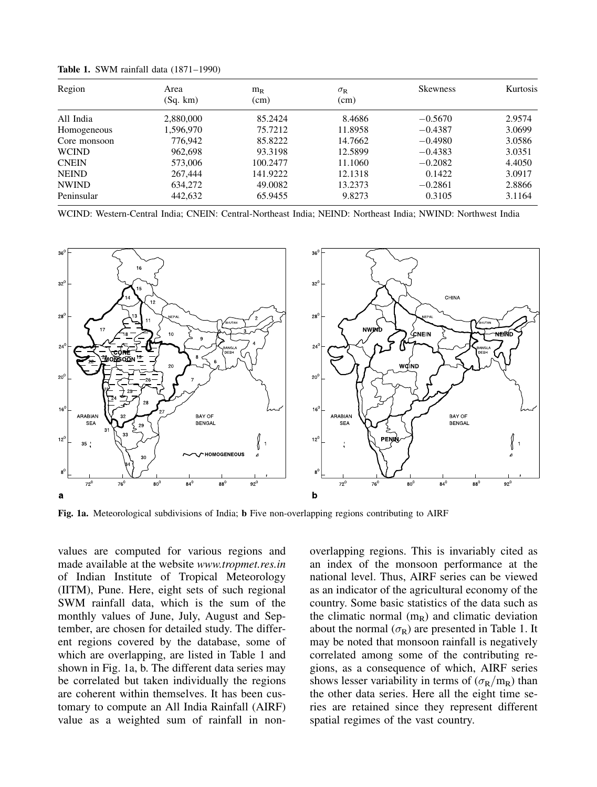| Region       | Area      | $m_R$    | $\sigma_{\rm R}$ | <b>Skewness</b> | Kurtosis |
|--------------|-----------|----------|------------------|-----------------|----------|
|              | (Sq. km)  | (cm)     | (cm)             |                 |          |
| All India    | 2,880,000 | 85.2424  | 8.4686           | $-0.5670$       | 2.9574   |
| Homogeneous  | 1,596,970 | 75.7212  | 11.8958          | $-0.4387$       | 3.0699   |
| Core monsoon | 776.942   | 85.8222  | 14.7662          | $-0.4980$       | 3.0586   |
| <b>WCIND</b> | 962,698   | 93.3198  | 12.5899          | $-0.4383$       | 3.0351   |
| <b>CNEIN</b> | 573,006   | 100.2477 | 11.1060          | $-0.2082$       | 4.4050   |
| <b>NEIND</b> | 267,444   | 141.9222 | 12.1318          | 0.1422          | 3.0917   |
| <b>NWIND</b> | 634,272   | 49.0082  | 13.2373          | $-0.2861$       | 2.8866   |
| Peninsular   | 442,632   | 65.9455  | 9.8273           | 0.3105          | 3.1164   |

Table 1. SWM rainfall data (1871–1990)

WCIND: Western-Central India; CNEIN: Central-Northeast India; NEIND: Northeast India; NWIND: Northwest India



Fig. 1a. Meteorological subdivisions of India; b Five non-overlapping regions contributing to AIRF

values are computed for various regions and made available at the website www.tropmet.res.in of Indian Institute of Tropical Meteorology (IITM), Pune. Here, eight sets of such regional SWM rainfall data, which is the sum of the monthly values of June, July, August and September, are chosen for detailed study. The different regions covered by the database, some of which are overlapping, are listed in Table 1 and shown in Fig. 1a, b. The different data series may be correlated but taken individually the regions are coherent within themselves. It has been customary to compute an All India Rainfall (AIRF) value as a weighted sum of rainfall in nonoverlapping regions. This is invariably cited as an index of the monsoon performance at the national level. Thus, AIRF series can be viewed as an indicator of the agricultural economy of the country. Some basic statistics of the data such as the climatic normal  $(m_R)$  and climatic deviation about the normal  $(\sigma_R)$  are presented in Table 1. It may be noted that monsoon rainfall is negatively correlated among some of the contributing regions, as a consequence of which, AIRF series shows lesser variability in terms of  $(\sigma_{\rm R}/m_{\rm R})$  than the other data series. Here all the eight time series are retained since they represent different spatial regimes of the vast country.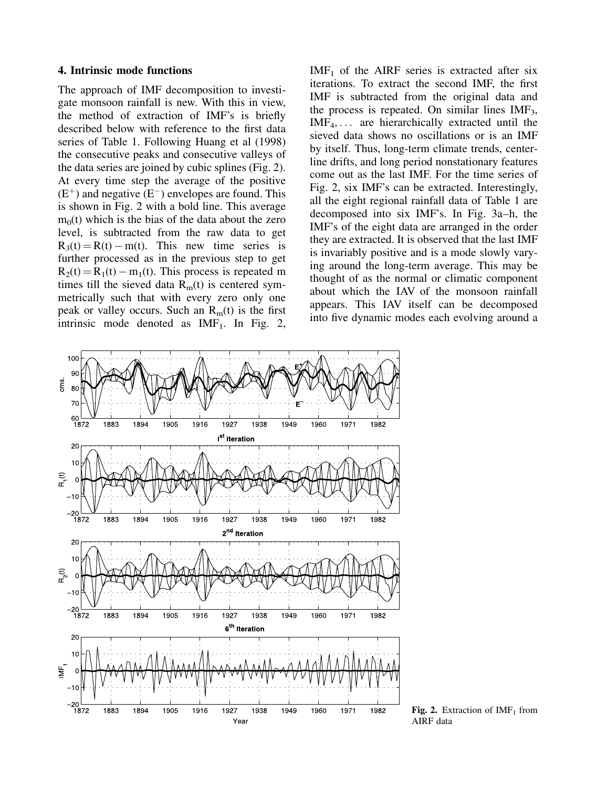#### 4. Intrinsic mode functions

The approach of IMF decomposition to investigate monsoon rainfall is new. With this in view, the method of extraction of IMF's is briefly described below with reference to the first data series of Table 1. Following Huang et al (1998) the consecutive peaks and consecutive valleys of the data series are joined by cubic splines (Fig. 2). At every time step the average of the positive  $(E<sup>+</sup>)$  and negative  $(E<sup>-</sup>)$  envelopes are found. This is shown in Fig. 2 with a bold line. This average  $m<sub>0</sub>(t)$  which is the bias of the data about the zero level, is subtracted from the raw data to get  $R_3(t) = R(t) - m(t)$ . This new time series is further processed as in the previous step to get  $R_2(t) = R_1(t) - m_1(t)$ . This process is repeated m times till the sieved data  $R<sub>m</sub>(t)$  is centered symmetrically such that with every zero only one peak or valley occurs. Such an  $R<sub>m</sub>(t)$  is the first intrinsic mode denoted as  $IMF<sub>1</sub>$ . In Fig. 2,

 $IMF<sub>1</sub>$  of the AIRF series is extracted after six iterations. To extract the second IMF, the first IMF is subtracted from the original data and the process is repeated. On similar lines  $IMF<sub>3</sub>$ ,  $IMF<sub>4</sub>,...$  are hierarchically extracted until the sieved data shows no oscillations or is an IMF by itself. Thus, long-term climate trends, centerline drifts, and long period nonstationary features come out as the last IMF. For the time series of Fig. 2, six IMF's can be extracted. Interestingly, all the eight regional rainfall data of Table 1 are decomposed into six IMF's. In Fig. 3a–h, the IMF's of the eight data are arranged in the order they are extracted. It is observed that the last IMF is invariably positive and is a mode slowly varying around the long-term average. This may be thought of as the normal or climatic component about which the IAV of the monsoon rainfall appears. This IAV itself can be decomposed into five dynamic modes each evolving around a



**Fig. 2.** Extraction of  $IMF_1$  from AIRF data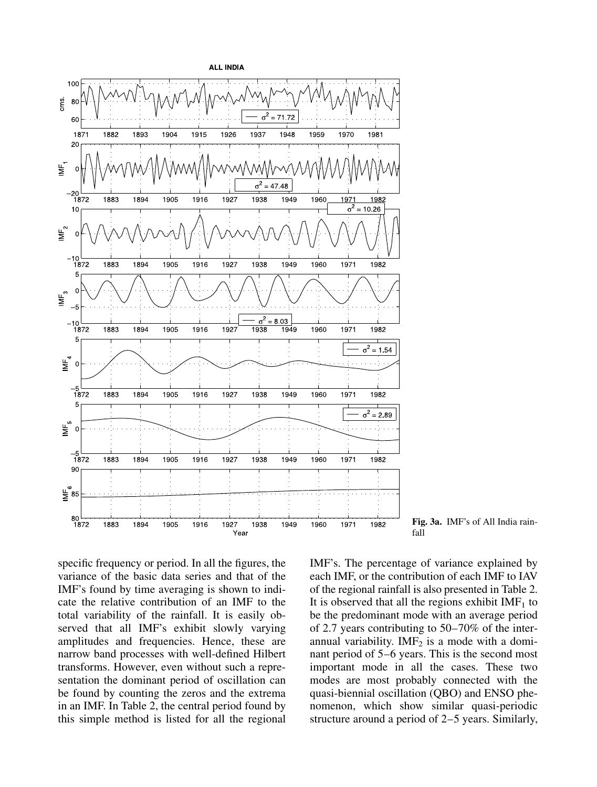

Fig. 3a. IMF's of All India rain-

specific frequency or period. In all the figures, the variance of the basic data series and that of the IMF's found by time averaging is shown to indicate the relative contribution of an IMF to the total variability of the rainfall. It is easily observed that all IMF's exhibit slowly varying amplitudes and frequencies. Hence, these are narrow band processes with well-defined Hilbert transforms. However, even without such a representation the dominant period of oscillation can be found by counting the zeros and the extrema in an IMF. In Table 2, the central period found by this simple method is listed for all the regional IMF's. The percentage of variance explained by each IMF, or the contribution of each IMF to IAV of the regional rainfall is also presented in Table 2. It is observed that all the regions exhibit  $IMF<sub>1</sub>$  to be the predominant mode with an average period of 2.7 years contributing to 50–70% of the interannual variability. IM $F_2$  is a mode with a dominant period of 5–6 years. This is the second most important mode in all the cases. These two modes are most probably connected with the quasi-biennial oscillation (QBO) and ENSO phenomenon, which show similar quasi-periodic structure around a period of 2–5 years. Similarly,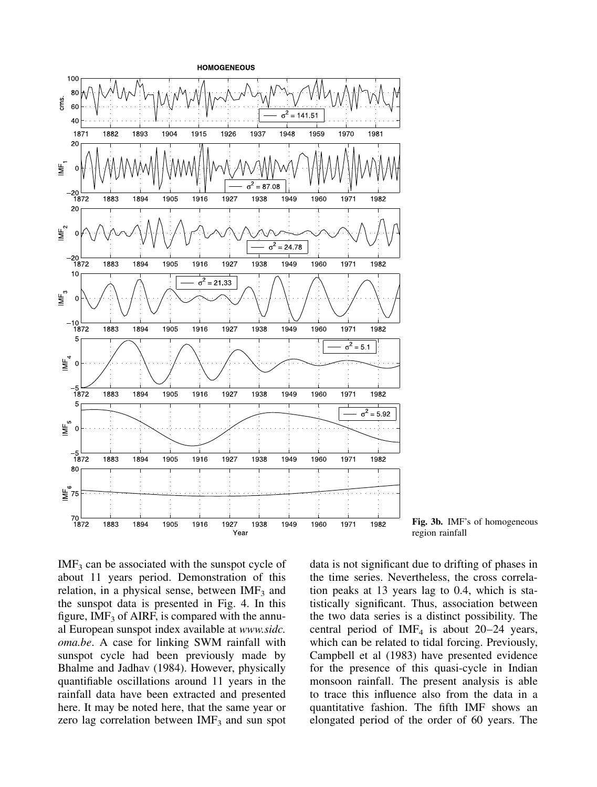

Fig. 3b. IMF's of homogeneous region rainfall

 $IMF<sub>3</sub>$  can be associated with the sunspot cycle of about 11 years period. Demonstration of this relation, in a physical sense, between  $IMF<sub>3</sub>$  and the sunspot data is presented in Fig. 4. In this figure,  $IMF<sub>3</sub>$  of AIRF, is compared with the annual European sunspot index available at www.sidc. oma.be. A case for linking SWM rainfall with sunspot cycle had been previously made by Bhalme and Jadhav (1984). However, physically quantifiable oscillations around 11 years in the rainfall data have been extracted and presented here. It may be noted here, that the same year or zero lag correlation between  $IMF<sub>3</sub>$  and sun spot

data is not significant due to drifting of phases in the time series. Nevertheless, the cross correlation peaks at 13 years lag to 0.4, which is statistically significant. Thus, association between the two data series is a distinct possibility. The central period of IMF<sub>4</sub> is about  $20-24$  years, which can be related to tidal forcing. Previously, Campbell et al (1983) have presented evidence for the presence of this quasi-cycle in Indian monsoon rainfall. The present analysis is able to trace this influence also from the data in a quantitative fashion. The fifth IMF shows an elongated period of the order of 60 years. The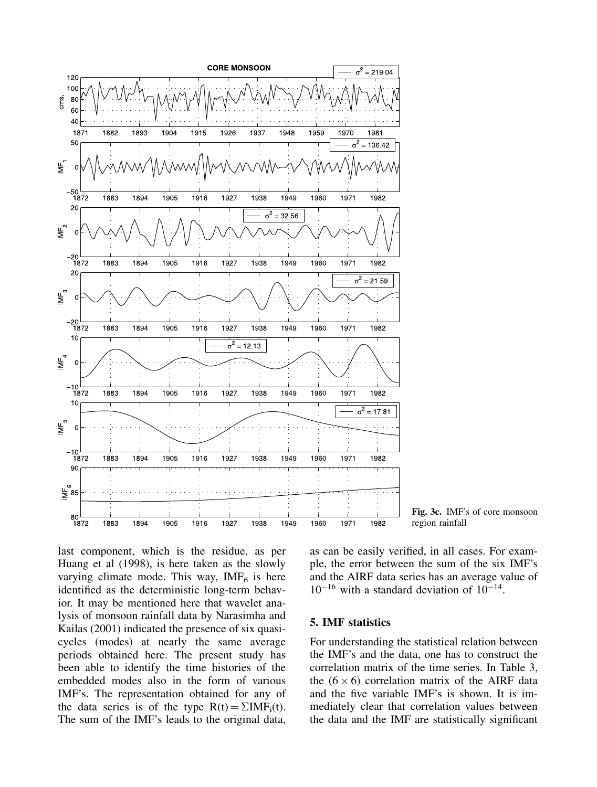

Fig. 3c. IMF's of core monsoon region rainfall

last component, which is the residue, as per Huang et al (1998), is here taken as the slowly varying climate mode. This way,  $IMF<sub>6</sub>$  is here identified as the deterministic long-term behavior. It may be mentioned here that wavelet analysis of monsoon rainfall data by Narasimha and Kailas (2001) indicated the presence of six quasicycles (modes) at nearly the same average periods obtained here. The present study has been able to identify the time histories of the embedded modes also in the form of various IMF's. The representation obtained for any of the data series is of the type  $R(t) = \sum I M F_i(t)$ . The sum of the IMF's leads to the original data, as can be easily verified, in all cases. For example, the error between the sum of the six IMF's and the AIRF data series has an average value of  $10^{-16}$  with a standard deviation of  $10^{-14}$ .

### 5. IMF statistics

For understanding the statistical relation between the IMF's and the data, one has to construct the correlation matrix of the time series. In Table 3, the  $(6 \times 6)$  correlation matrix of the AIRF data and the five variable IMF's is shown. It is immediately clear that correlation values between the data and the IMF are statistically significant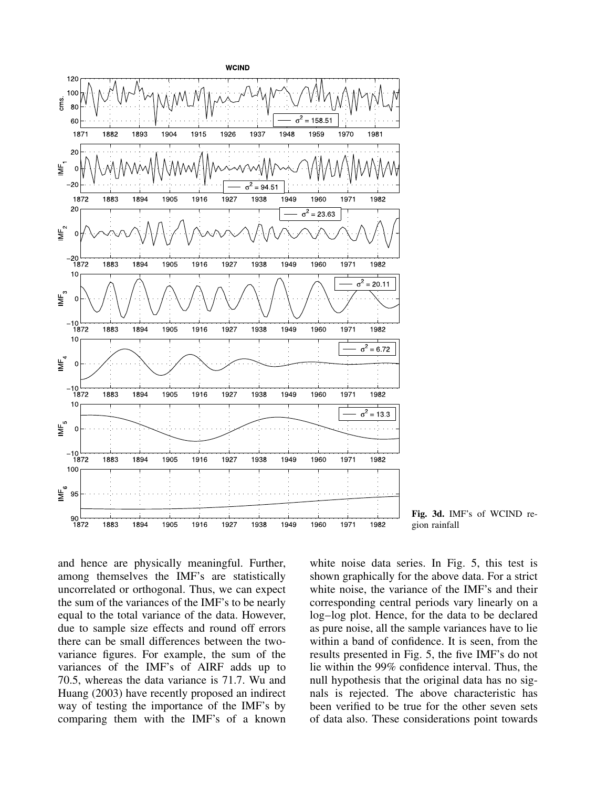

Fig. 3d. IMF's of WCIND region rainfall

and hence are physically meaningful. Further, among themselves the IMF's are statistically uncorrelated or orthogonal. Thus, we can expect the sum of the variances of the IMF's to be nearly equal to the total variance of the data. However, due to sample size effects and round off errors there can be small differences between the twovariance figures. For example, the sum of the variances of the IMF's of AIRF adds up to 70.5, whereas the data variance is 71.7. Wu and Huang (2003) have recently proposed an indirect way of testing the importance of the IMF's by comparing them with the IMF's of a known white noise data series. In Fig. 5, this test is shown graphically for the above data. For a strict white noise, the variance of the IMF's and their corresponding central periods vary linearly on a log–log plot. Hence, for the data to be declared as pure noise, all the sample variances have to lie within a band of confidence. It is seen, from the results presented in Fig. 5, the five IMF's do not lie within the 99% confidence interval. Thus, the null hypothesis that the original data has no signals is rejected. The above characteristic has been verified to be true for the other seven sets of data also. These considerations point towards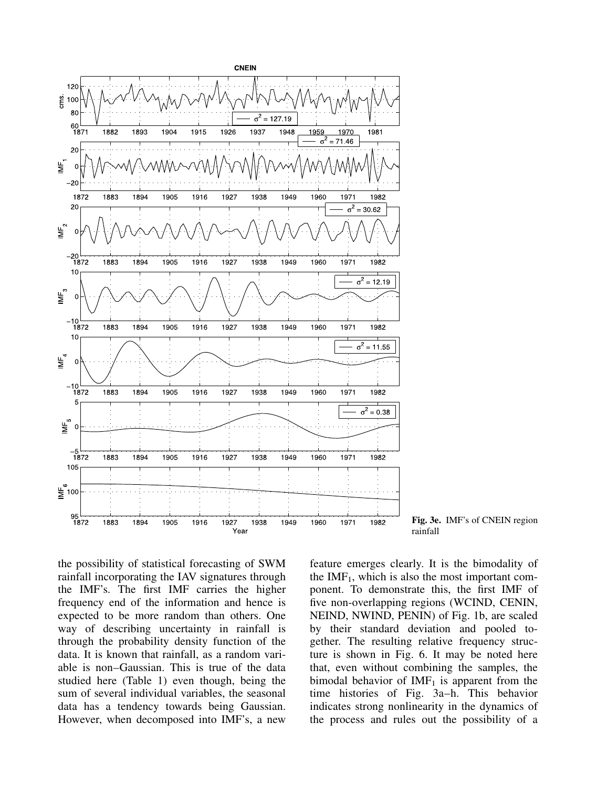

Fig. 3e. IMF's of CNEIN region rainfall

the possibility of statistical forecasting of SWM rainfall incorporating the IAV signatures through the IMF's. The first IMF carries the higher frequency end of the information and hence is expected to be more random than others. One way of describing uncertainty in rainfall is through the probability density function of the data. It is known that rainfall, as a random variable is non–Gaussian. This is true of the data studied here (Table 1) even though, being the sum of several individual variables, the seasonal data has a tendency towards being Gaussian. However, when decomposed into IMF's, a new feature emerges clearly. It is the bimodality of the  $IMF<sub>1</sub>$ , which is also the most important component. To demonstrate this, the first IMF of five non-overlapping regions (WCIND, CENIN, NEIND, NWIND, PENIN) of Fig. 1b, are scaled by their standard deviation and pooled together. The resulting relative frequency structure is shown in Fig. 6. It may be noted here that, even without combining the samples, the bimodal behavior of  $IMF<sub>1</sub>$  is apparent from the time histories of Fig. 3a–h. This behavior indicates strong nonlinearity in the dynamics of the process and rules out the possibility of a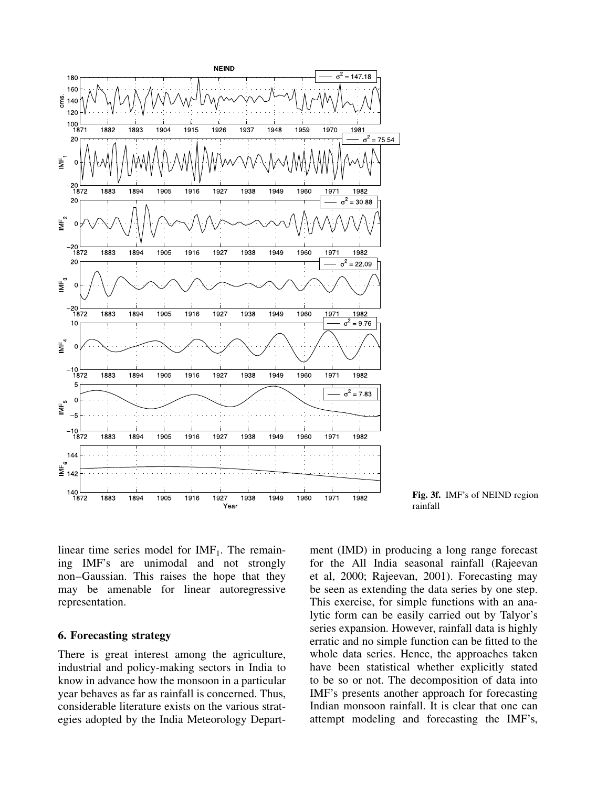

Fig. 3f. IMF's of NEIND region rainfall

linear time series model for  $IMF<sub>1</sub>$ . The remaining IMF's are unimodal and not strongly non–Gaussian. This raises the hope that they may be amenable for linear autoregressive representation.

### 6. Forecasting strategy

There is great interest among the agriculture, industrial and policy-making sectors in India to know in advance how the monsoon in a particular year behaves as far as rainfall is concerned. Thus, considerable literature exists on the various strategies adopted by the India Meteorology Department (IMD) in producing a long range forecast for the All India seasonal rainfall (Rajeevan et al, 2000; Rajeevan, 2001). Forecasting may be seen as extending the data series by one step. This exercise, for simple functions with an analytic form can be easily carried out by Talyor's series expansion. However, rainfall data is highly erratic and no simple function can be fitted to the whole data series. Hence, the approaches taken have been statistical whether explicitly stated to be so or not. The decomposition of data into IMF's presents another approach for forecasting Indian monsoon rainfall. It is clear that one can attempt modeling and forecasting the IMF's,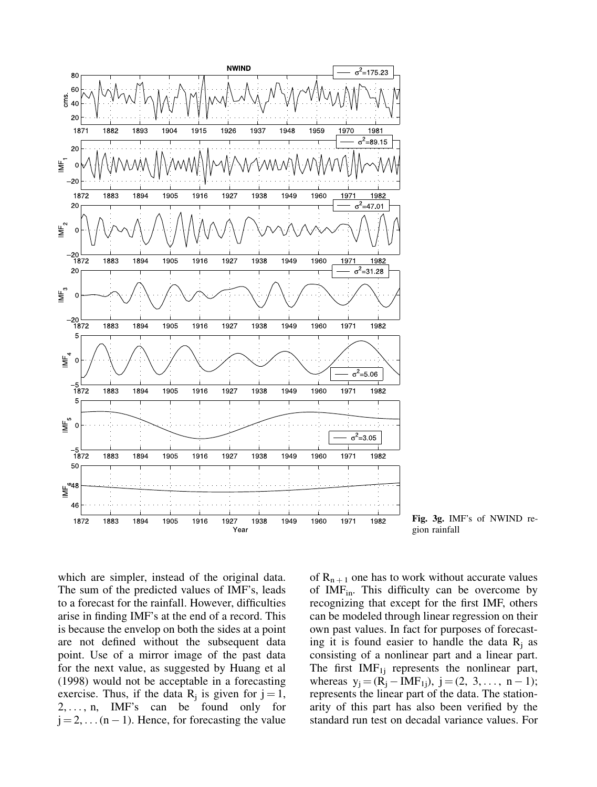

Fig. 3g. IMF's of NWIND region rainfall

which are simpler, instead of the original data. The sum of the predicted values of IMF's, leads to a forecast for the rainfall. However, difficulties arise in finding IMF's at the end of a record. This is because the envelop on both the sides at a point are not defined without the subsequent data point. Use of a mirror image of the past data for the next value, as suggested by Huang et al (1998) would not be acceptable in a forecasting exercise. Thus, if the data  $R_j$  is given for  $j = 1$ ,  $2, \ldots, n$ , IMF's can be found only for  $j = 2, \ldots (n - 1)$ . Hence, for forecasting the value of  $R_{n+1}$  one has to work without accurate values of  $IMF<sub>in</sub>$ . This difficulty can be overcome by recognizing that except for the first IMF, others can be modeled through linear regression on their own past values. In fact for purposes of forecasting it is found easier to handle the data  $R_i$  as consisting of a nonlinear part and a linear part. The first  $IMF_{1i}$  represents the nonlinear part, whereas  $y_j = (R_j - IMF_{1j}), j = (2, 3, ..., n - 1);$ represents the linear part of the data. The stationarity of this part has also been verified by the standard run test on decadal variance values. For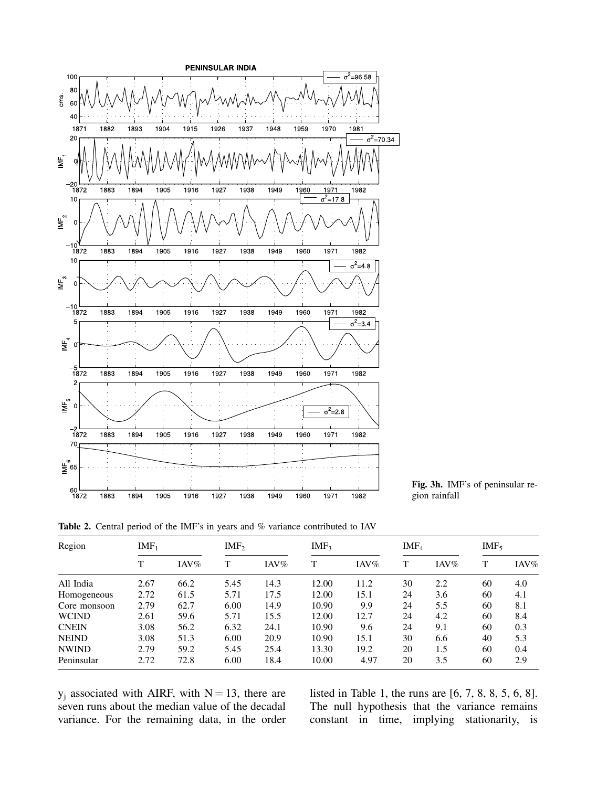

Fig. 3h. IMF's of peninsular region rainfall

Table 2. Central period of the IMF's in years and % variance contributed to IAV

| Region       | $IMF_1$ |                | IMF <sub>2</sub> |                | IMF <sub>3</sub> |                | IMF <sub>4</sub> |                | IMF <sub>5</sub> |                |
|--------------|---------|----------------|------------------|----------------|------------------|----------------|------------------|----------------|------------------|----------------|
|              | т       | $\text{INV}\%$ | T                | $\text{INV}\%$ | T                | $\text{INV}\%$ | т                | $\text{INV}\%$ | T                | $\text{INV}\%$ |
| All India    | 2.67    | 66.2           | 5.45             | 14.3           | 12.00            | 11.2           | 30               | 2.2            | 60               | 4.0            |
| Homogeneous  | 2.72    | 61.5           | 5.71             | 17.5           | 12.00            | 15.1           | 24               | 3.6            | 60               | 4.1            |
| Core monsoon | 2.79    | 62.7           | 6.00             | 14.9           | 10.90            | 9.9            | 24               | 5.5            | 60               | 8.1            |
| <b>WCIND</b> | 2.61    | 59.6           | 5.71             | 15.5           | 12.00            | 12.7           | 24               | 4.2            | 60               | 8.4            |
| <b>CNEIN</b> | 3.08    | 56.2           | 6.32             | 24.1           | 10.90            | 9.6            | 24               | 9.1            | 60               | 0.3            |
| <b>NEIND</b> | 3.08    | 51.3           | 6.00             | 20.9           | 10.90            | 15.1           | 30               | 6.6            | 40               | 5.3            |
| <b>NWIND</b> | 2.79    | 59.2           | 5.45             | 25.4           | 13.30            | 19.2           | 20               | 1.5            | 60               | 0.4            |
| Peninsular   | 2.72    | 72.8           | 6.00             | 18.4           | 10.00            | 4.97           | 20               | 3.5            | 60               | 2.9            |

 $y_i$  associated with AIRF, with  $N = 13$ , there are seven runs about the median value of the decadal variance. For the remaining data, in the order

listed in Table 1, the runs are [6, 7, 8, 8, 5, 6, 8]. The null hypothesis that the variance remains constant in time, implying stationarity, is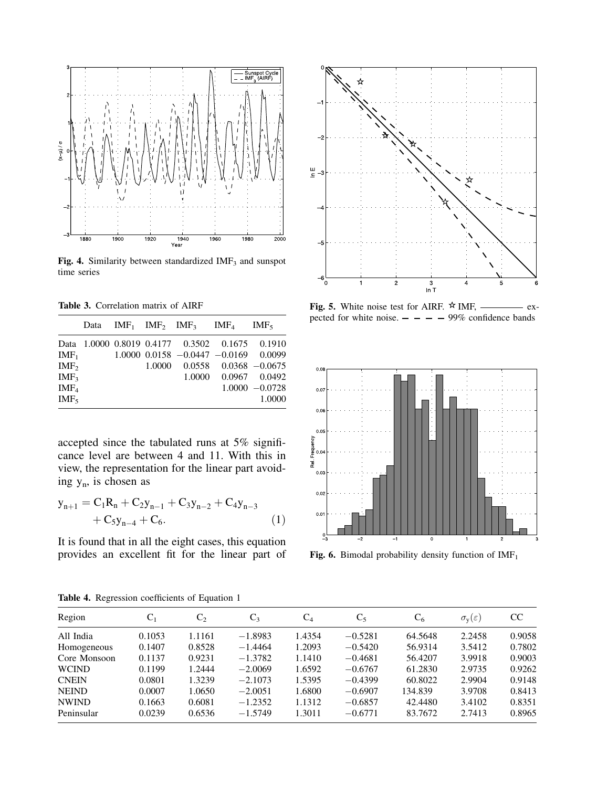

Fig. 4. Similarity between standardized  $IMF<sub>3</sub>$  and sunspot time series

Table 3. Correlation matrix of AIRF

|                  |  | Data $IMF_1$ $IMF_2$ $IMF_3$ $IMF_4$ $IMF_5$   |                      |                   |
|------------------|--|------------------------------------------------|----------------------|-------------------|
|                  |  | Data 1,0000 0.8019 0.4177 0.3502 0.1675 0.1910 |                      |                   |
| $IMF_1$          |  | $1.0000$ $0.0158$ $-0.0447$ $-0.0169$ 0.0099   |                      |                   |
| IMF <sub>2</sub> |  | $1.0000$ $0.0558$ $0.0368$ $-0.0675$           |                      |                   |
| IMF <sub>3</sub> |  |                                                | 1.0000 0.0967 0.0492 |                   |
| IMF <sub>4</sub> |  |                                                |                      | $1.0000 - 0.0728$ |
| IMF <sub>5</sub> |  |                                                |                      | 1.0000            |
|                  |  |                                                |                      |                   |

accepted since the tabulated runs at 5% significance level are between 4 and 11. With this in view, the representation for the linear part avoiding y<sup>n</sup> , is chosen as

$$
y_{n+1} = C_1 R_n + C_2 y_{n-1} + C_3 y_{n-2} + C_4 y_{n-3} + C_5 y_{n-4} + C_6.
$$
 (1)

It is found that in all the eight cases, this equation provides an excellent fit for the linear part of



Fig. 5. White noise test for AIRF.  $\star$  IMF, — expected for white noise.  $- - - 99\%$  confidence bands



Fig. 6. Bimodal probability density function of  $IMF<sub>1</sub>$ 

| Region       | C <sub>1</sub> | $C_{2}$ | $C_3$     | $C_4$  | $C_5$     | $C_6$   | $\sigma_{\rm y}(\varepsilon)$ | <sub>CC</sub> |
|--------------|----------------|---------|-----------|--------|-----------|---------|-------------------------------|---------------|
| All India    | 0.1053         | 1.1161  | $-1.8983$ | 1.4354 | $-0.5281$ | 64.5648 | 2.2458                        | 0.9058        |
| Homogeneous  | 0.1407         | 0.8528  | $-1.4464$ | 1.2093 | $-0.5420$ | 56.9314 | 3.5412                        | 0.7802        |
| Core Monsoon | 0.1137         | 0.9231  | $-1.3782$ | 1.1410 | $-0.4681$ | 56.4207 | 3.9918                        | 0.9003        |
| <b>WCIND</b> | 0.1199         | 1.2444  | $-2.0069$ | 1.6592 | $-0.6767$ | 61.2830 | 2.9735                        | 0.9262        |
| <b>CNEIN</b> | 0.0801         | 1.3239  | $-2.1073$ | 1.5395 | $-0.4399$ | 60.8022 | 2.9904                        | 0.9148        |
| <b>NEIND</b> | 0.0007         | 1.0650  | $-2.0051$ | 1.6800 | $-0.6907$ | 134.839 | 3.9708                        | 0.8413        |
| <b>NWIND</b> | 0.1663         | 0.6081  | $-1.2352$ | 1.1312 | $-0.6857$ | 42.4480 | 3.4102                        | 0.8351        |
| Peninsular   | 0.0239         | 0.6536  | $-1.5749$ | 1.3011 | $-0.6771$ | 83.7672 | 2.7413                        | 0.8965        |

Table 4. Regression coefficients of Equation 1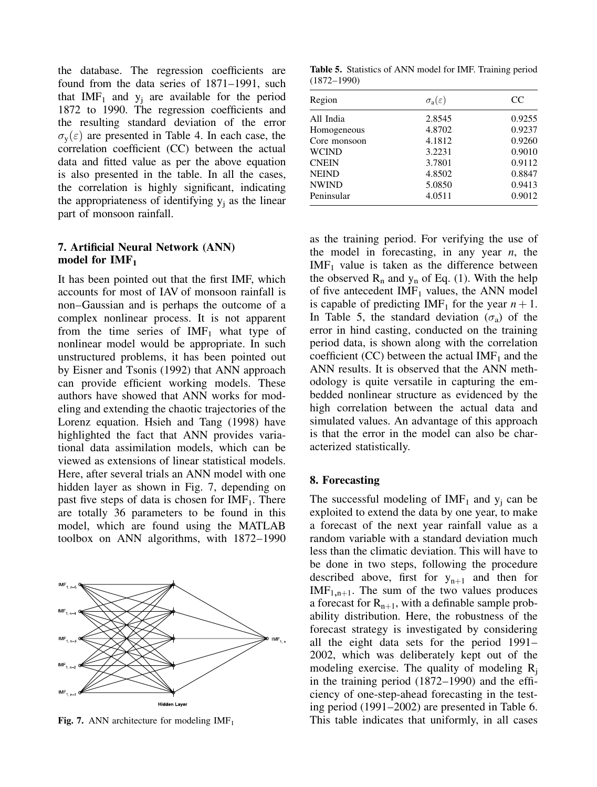the database. The regression coefficients are found from the data series of 1871–1991, such that  $IMF_1$  and  $y_i$  are available for the period 1872 to 1990. The regression coefficients and the resulting standard deviation of the error  $\sigma_v(\varepsilon)$  are presented in Table 4. In each case, the correlation coefficient (CC) between the actual data and fitted value as per the above equation is also presented in the table. In all the cases, the correlation is highly significant, indicating the appropriateness of identifying  $y_i$  as the linear part of monsoon rainfall.

### 7. Artificial Neural Network (ANN) model for  $IMF<sub>1</sub>$

It has been pointed out that the first IMF, which accounts for most of IAV of monsoon rainfall is non–Gaussian and is perhaps the outcome of a complex nonlinear process. It is not apparent from the time series of  $IMF<sub>1</sub>$  what type of nonlinear model would be appropriate. In such unstructured problems, it has been pointed out by Eisner and Tsonis (1992) that ANN approach can provide efficient working models. These authors have showed that ANN works for modeling and extending the chaotic trajectories of the Lorenz equation. Hsieh and Tang (1998) have highlighted the fact that ANN provides variational data assimilation models, which can be viewed as extensions of linear statistical models. Here, after several trials an ANN model with one hidden layer as shown in Fig. 7, depending on past five steps of data is chosen for  $IMF<sub>1</sub>$ . There are totally 36 parameters to be found in this model, which are found using the MATLAB toolbox on ANN algorithms, with 1872–1990



Table 5. Statistics of ANN model for IMF. Training period (1872–1990)

| Region       | $\sigma_{\rm a}(\varepsilon)$ | CC     |
|--------------|-------------------------------|--------|
| All India    | 2.8545                        | 0.9255 |
| Homogeneous  | 4.8702                        | 0.9237 |
| Core monsoon | 4.1812                        | 0.9260 |
| <b>WCIND</b> | 3.2231                        | 0.9010 |
| <b>CNEIN</b> | 3.7801                        | 0.9112 |
| <b>NEIND</b> | 4.8502                        | 0.8847 |
| <b>NWIND</b> | 5.0850                        | 0.9413 |
| Peninsular   | 4.0511                        | 0.9012 |
|              |                               |        |

as the training period. For verifying the use of the model in forecasting, in any year  $n$ , the  $IMF<sub>1</sub>$  value is taken as the difference between the observed  $R_n$  and  $y_n$  of Eq. (1). With the help of five antecedent  $IMF<sub>1</sub>$  values, the ANN model is capable of predicting IMF<sub>1</sub> for the year  $n + 1$ . In Table 5, the standard deviation  $(\sigma_a)$  of the error in hind casting, conducted on the training period data, is shown along with the correlation coefficient (CC) between the actual  $IMF<sub>1</sub>$  and the ANN results. It is observed that the ANN methodology is quite versatile in capturing the embedded nonlinear structure as evidenced by the high correlation between the actual data and simulated values. An advantage of this approach is that the error in the model can also be characterized statistically.

### 8. Forecasting

The successful modeling of  $IMF<sub>1</sub>$  and  $y<sub>i</sub>$  can be exploited to extend the data by one year, to make a forecast of the next year rainfall value as a random variable with a standard deviation much less than the climatic deviation. This will have to be done in two steps, following the procedure described above, first for  $y_{n+1}$  and then for  $IMF<sub>1,n+1</sub>$ . The sum of the two values produces a forecast for  $R_{n+1}$ , with a definable sample probability distribution. Here, the robustness of the forecast strategy is investigated by considering all the eight data sets for the period 1991– 2002, which was deliberately kept out of the modeling exercise. The quality of modeling  $R_i$ in the training period (1872–1990) and the efficiency of one-step-ahead forecasting in the testing period (1991–2002) are presented in Table 6. Fig. 7. ANN architecture for modeling  $IMF<sub>1</sub>$  This table indicates that uniformly, in all cases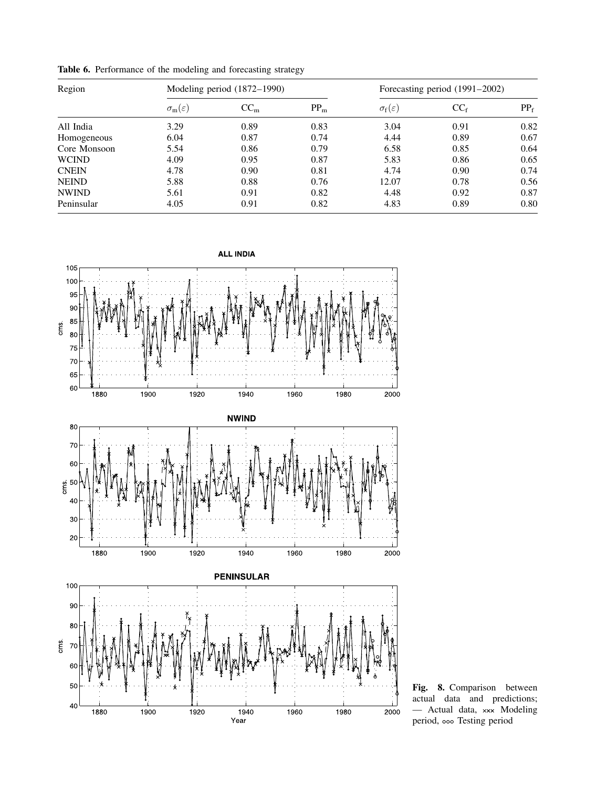| Region       |                               | Modeling period (1872-1990) |        |                               | Forecasting period (1991–2002) |        |  |
|--------------|-------------------------------|-----------------------------|--------|-------------------------------|--------------------------------|--------|--|
|              | $\sigma_{\rm m}(\varepsilon)$ | CC <sub>m</sub>             | $PP_m$ | $\sigma_{\rm f}(\varepsilon)$ | $CC_f$                         | $PP_f$ |  |
| All India    | 3.29                          | 0.89                        | 0.83   | 3.04                          | 0.91                           | 0.82   |  |
| Homogeneous  | 6.04                          | 0.87                        | 0.74   | 4.44                          | 0.89                           | 0.67   |  |
| Core Monsoon | 5.54                          | 0.86                        | 0.79   | 6.58                          | 0.85                           | 0.64   |  |
| <b>WCIND</b> | 4.09                          | 0.95                        | 0.87   | 5.83                          | 0.86                           | 0.65   |  |
| <b>CNEIN</b> | 4.78                          | 0.90                        | 0.81   | 4.74                          | 0.90                           | 0.74   |  |
| <b>NEIND</b> | 5.88                          | 0.88                        | 0.76   | 12.07                         | 0.78                           | 0.56   |  |
| <b>NWIND</b> | 5.61                          | 0.91                        | 0.82   | 4.48                          | 0.92                           | 0.87   |  |
| Peninsular   | 4.05                          | 0.91                        | 0.82   | 4.83                          | 0.89                           | 0.80   |  |

Table 6. Performance of the modeling and forecasting strategy



Fig. 8. Comparison between actual data and predictions;  $-$  Actual data,  $xxx$  Modeling period, ooo Testing period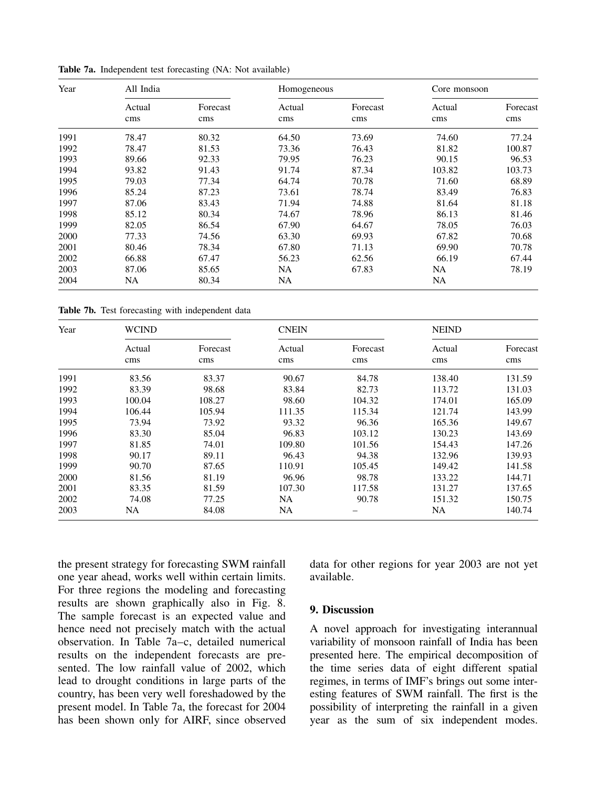| Year | All India     |                 | Homogeneous   |                 | Core monsoon  |               |
|------|---------------|-----------------|---------------|-----------------|---------------|---------------|
|      | Actual<br>cms | Forecast<br>cms | Actual<br>cms | Forecast<br>cms | Actual<br>cms | Foreca<br>cms |
| 1991 | 78.47         | 80.32           | 64.50         | 73.69           | 74.60         | 77.24         |
| 1992 | 78.47         | 81.53           | 73.36         | 76.43           | 81.82         | 100.87        |
| 1993 | 89.66         | 92.33           | 79.95         | 76.23           | 90.15         | 96.53         |
| 1994 | 93.82         | 91.43           | 91.74         | 87.34           | 103.82        | 103.73        |
| 1995 | 79.03         | 77.34           | 64.74         | 70.78           | 71.60         | 68.89         |
| 1996 | 85.24         | 87.23           | 73.61         | 78.74           | 83.49         | 76.83         |
| 1997 | 87.06         | 83.43           | 71.94         | 74.88           | 81.64         | 81.18         |
| 1998 | 85.12         | 80.34           | 74.67         | 78.96           | 86.13         | 81.46         |
| 1999 | 82.05         | 86.54           | 67.90         | 64.67           | 78.05         | 76.03         |
| 2000 | 77.33         | 74.56           | 63.30         | 69.93           | 67.82         | 70.68         |
| 2001 | 80.46         | 78.34           | 67.80         | 71.13           | 69.90         | 70.78         |
| 2002 | 66.88         | 67.47           | 56.23         | 62.56           | 66.19         | 67.44         |
| 2003 | 87.06         | 85.65           | NA            | 67.83           | NA            | 78.19         |

2004 NA 80.34 NA NA

Table 7a. Independent test forecasting (NA: Not available)

Table 7b. Test forecasting with independent data

| Year | <b>WCIND</b>  |                 |               |                 | <b>NEIND</b>  |                 |
|------|---------------|-----------------|---------------|-----------------|---------------|-----------------|
|      | Actual<br>cms | Forecast<br>cms | Actual<br>cms | Forecast<br>cms | Actual<br>cms | Forecast<br>cms |
| 1991 | 83.56         | 83.37           | 90.67         | 84.78           | 138.40        | 131.59          |
| 1992 | 83.39         | 98.68           | 83.84         | 82.73           | 113.72        | 131.03          |
| 1993 | 100.04        | 108.27          | 98.60         | 104.32          | 174.01        | 165.09          |
| 1994 | 106.44        | 105.94          | 111.35        | 115.34          | 121.74        | 143.99          |
| 1995 | 73.94         | 73.92           | 93.32         | 96.36           | 165.36        | 149.67          |
| 1996 | 83.30         | 85.04           | 96.83         | 103.12          | 130.23        | 143.69          |
| 1997 | 81.85         | 74.01           | 109.80        | 101.56          | 154.43        | 147.26          |
| 1998 | 90.17         | 89.11           | 96.43         | 94.38           | 132.96        | 139.93          |
| 1999 | 90.70         | 87.65           | 110.91        | 105.45          | 149.42        | 141.58          |
| 2000 | 81.56         | 81.19           | 96.96         | 98.78           | 133.22        | 144.71          |
| 2001 | 83.35         | 81.59           | 107.30        | 117.58          | 131.27        | 137.65          |
| 2002 | 74.08         | 77.25           | NA.           | 90.78           | 151.32        | 150.75          |
| 2003 | NA            | 84.08           | <b>NA</b>     |                 | NA            | 140.74          |

the present strategy for forecasting SWM rainfall one year ahead, works well within certain limits. For three regions the modeling and forecasting results are shown graphically also in Fig. 8. The sample forecast is an expected value and hence need not precisely match with the actual observation. In Table 7a–c, detailed numerical results on the independent forecasts are presented. The low rainfall value of 2002, which lead to drought conditions in large parts of the country, has been very well foreshadowed by the present model. In Table 7a, the forecast for 2004 has been shown only for AIRF, since observed

data for other regions for year 2003 are not yet available.

Forecast cms

#### 9. Discussion

A novel approach for investigating interannual variability of monsoon rainfall of India has been presented here. The empirical decomposition of the time series data of eight different spatial regimes, in terms of IMF's brings out some interesting features of SWM rainfall. The first is the possibility of interpreting the rainfall in a given year as the sum of six independent modes.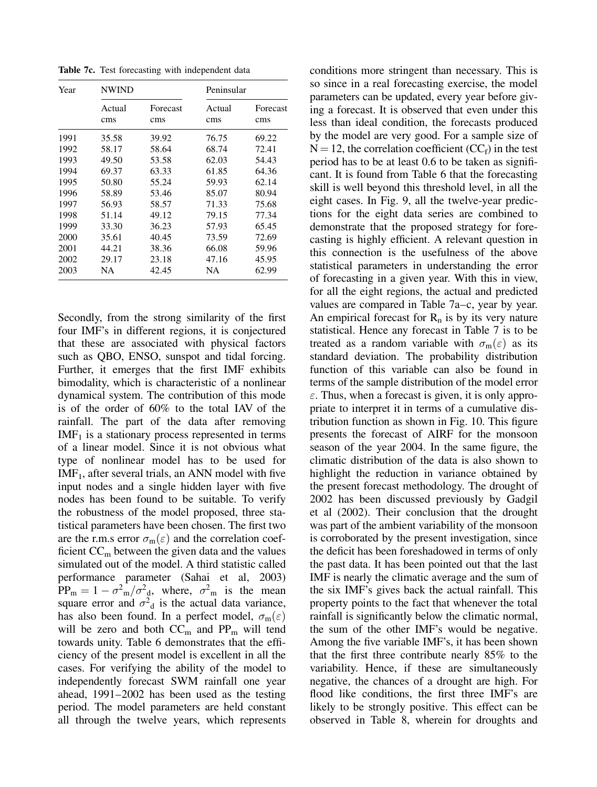Table 7c. Test forecasting with independent data

| Year | <b>NWIND</b>  |                 | Peninsular    |                 |  |
|------|---------------|-----------------|---------------|-----------------|--|
|      | Actual<br>cms | Forecast<br>cms | Actual<br>cms | Forecast<br>cms |  |
| 1991 | 35.58         | 39.92           | 76.75         | 69.22           |  |
| 1992 | 58.17         | 58.64           | 68.74         | 72.41           |  |
| 1993 | 49.50         | 53.58           | 62.03         | 54.43           |  |
| 1994 | 69.37         | 63.33           | 61.85         | 64.36           |  |
| 1995 | 50.80         | 55.24           | 59.93         | 62.14           |  |
| 1996 | 58.89         | 53.46           | 85.07         | 80.94           |  |
| 1997 | 56.93         | 58.57           | 71.33         | 75.68           |  |
| 1998 | 51.14         | 49.12           | 79.15         | 77.34           |  |
| 1999 | 33.30         | 36.23           | 57.93         | 65.45           |  |
| 2000 | 35.61         | 40.45           | 73.59         | 72.69           |  |
| 2001 | 44.21         | 38.36           | 66.08         | 59.96           |  |
| 2002 | 29.17         | 23.18           | 47.16         | 45.95           |  |
| 2003 | NA            | 42.45           | NA            | 62.99           |  |

Secondly, from the strong similarity of the first four IMF's in different regions, it is conjectured that these are associated with physical factors such as QBO, ENSO, sunspot and tidal forcing. Further, it emerges that the first IMF exhibits bimodality, which is characteristic of a nonlinear dynamical system. The contribution of this mode is of the order of 60% to the total IAV of the rainfall. The part of the data after removing  $IMF<sub>1</sub>$  is a stationary process represented in terms of a linear model. Since it is not obvious what type of nonlinear model has to be used for  $IMF<sub>1</sub>$ , after several trials, an ANN model with five input nodes and a single hidden layer with five nodes has been found to be suitable. To verify the robustness of the model proposed, three statistical parameters have been chosen. The first two are the r.m.s error  $\sigma_m(\varepsilon)$  and the correlation coefficient  $CC<sub>m</sub>$  between the given data and the values simulated out of the model. A third statistic called performance parameter (Sahai et al, 2003)  $PP_m = 1 - \sigma_{m}^2/\sigma_{d}^2$ , where,  $\sigma_{m}^2$  is the mean square error and  $\sigma^2$ <sub>d</sub> is the actual data variance, has also been found. In a perfect model,  $\sigma_m(\varepsilon)$ will be zero and both  $CC_m$  and  $PP_m$  will tend towards unity. Table 6 demonstrates that the efficiency of the present model is excellent in all the cases. For verifying the ability of the model to independently forecast SWM rainfall one year ahead, 1991–2002 has been used as the testing period. The model parameters are held constant all through the twelve years, which represents

conditions more stringent than necessary. This is so since in a real forecasting exercise, the model parameters can be updated, every year before giving a forecast. It is observed that even under this less than ideal condition, the forecasts produced by the model are very good. For a sample size of  $N = 12$ , the correlation coefficient (CC<sub>f</sub>) in the test period has to be at least 0.6 to be taken as significant. It is found from Table 6 that the forecasting skill is well beyond this threshold level, in all the eight cases. In Fig. 9, all the twelve-year predictions for the eight data series are combined to demonstrate that the proposed strategy for forecasting is highly efficient. A relevant question in this connection is the usefulness of the above statistical parameters in understanding the error of forecasting in a given year. With this in view, for all the eight regions, the actual and predicted values are compared in Table 7a–c, year by year. An empirical forecast for  $R_n$  is by its very nature statistical. Hence any forecast in Table 7 is to be treated as a random variable with  $\sigma_m(\varepsilon)$  as its standard deviation. The probability distribution function of this variable can also be found in terms of the sample distribution of the model error  $\varepsilon$ . Thus, when a forecast is given, it is only appropriate to interpret it in terms of a cumulative distribution function as shown in Fig. 10. This figure presents the forecast of AIRF for the monsoon season of the year 2004. In the same figure, the climatic distribution of the data is also shown to highlight the reduction in variance obtained by the present forecast methodology. The drought of 2002 has been discussed previously by Gadgil et al (2002). Their conclusion that the drought was part of the ambient variability of the monsoon is corroborated by the present investigation, since the deficit has been foreshadowed in terms of only the past data. It has been pointed out that the last IMF is nearly the climatic average and the sum of the six IMF's gives back the actual rainfall. This property points to the fact that whenever the total rainfall is significantly below the climatic normal, the sum of the other IMF's would be negative. Among the five variable IMF's, it has been shown that the first three contribute nearly 85% to the variability. Hence, if these are simultaneously negative, the chances of a drought are high. For flood like conditions, the first three IMF's are likely to be strongly positive. This effect can be observed in Table 8, wherein for droughts and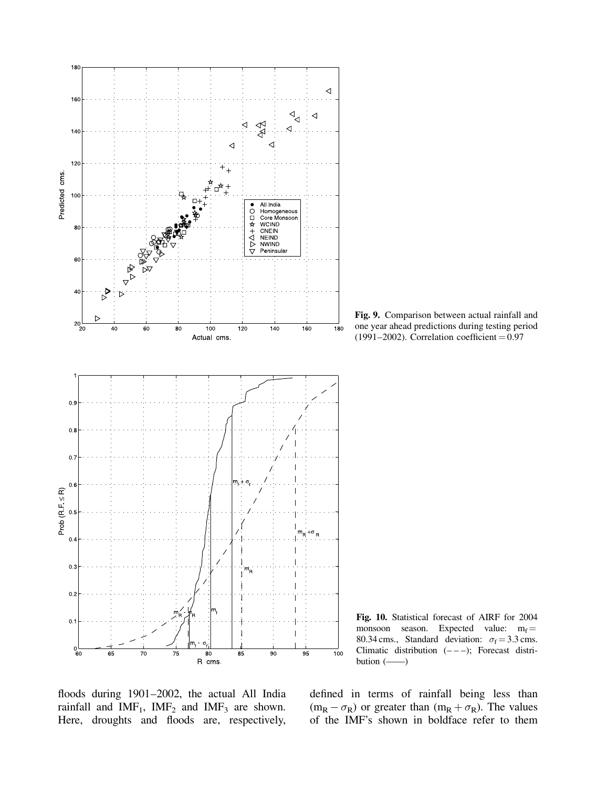

Fig. 9. Comparison between actual rainfall and one year ahead predictions during testing period (1991–2002). Correlation coefficient  $= 0.97$ 

Fig. 10. Statistical forecast of AIRF for 2004 monsoon season. Expected value:  $m_f =$ 80.34 cms., Standard deviation:  $\sigma_f = 3.3$  cms. Climatic distribution  $(- - -)$ ; Forecast distribution (——)

floods during 1901–2002, the actual All India rainfall and  $IMF_1$ ,  $IMF_2$  and  $IMF_3$  are shown. Here, droughts and floods are, respectively,

defined in terms of rainfall being less than  $(m_R - \sigma_R)$  or greater than  $(m_R + \sigma_R)$ . The values of the IMF's shown in boldface refer to them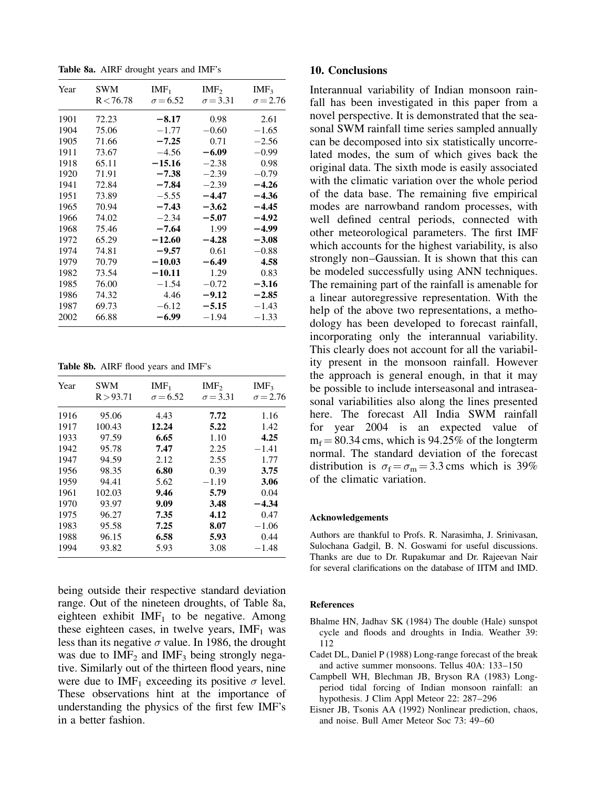Table 8a. AIRF drought years and IMF's

| Year | SWM<br>R < 76.78 | $IMF_1$<br>$\sigma = 6.52$ | IMF <sub>2</sub><br>$\sigma = 3.31$ | IMF <sub>3</sub><br>$\sigma = 2.76$ |
|------|------------------|----------------------------|-------------------------------------|-------------------------------------|
| 1901 | 72.23            | $-8.17$                    | 0.98                                | 2.61                                |
| 1904 | 75.06            | $-1.77$                    | $-0.60$                             | $-1.65$                             |
| 1905 | 71.66            | $-7.25$                    | 0.71                                | $-2.56$                             |
| 1911 | 73.67            | $-4.56$                    | -6.09                               | $-0.99$                             |
| 1918 | 65.11            | $-15.16$                   | $-2.38$                             | 0.98                                |
| 1920 | 71.91            | $-7.38$                    | $-2.39$                             | $-0.79$                             |
| 1941 | 72.84            | $-7.84$                    | $-2.39$                             | $-4.26$                             |
| 1951 | 73.89            | $-5.55$                    | -4.47                               | $-4.36$                             |
| 1965 | 70.94            | $-7.43$                    | $-3.62$                             | $-4.45$                             |
| 1966 | 74.02            | $-2.34$                    | $-5.07$                             | $-4.92$                             |
| 1968 | 75.46            | $-7.64$                    | 1.99                                | -4.99                               |
| 1972 | 65.29            | $-12.60$                   | $-4.28$                             | $-3.08$                             |
| 1974 | 74.81            | $-9.57$                    | 0.61                                | $-0.88$                             |
| 1979 | 70.79            | $-10.03$                   | -6.49                               | 4.58                                |
| 1982 | 73.54            | $-10.11$                   | 1.29                                | 0.83                                |
| 1985 | 76.00            | $-1.54$                    | $-0.72$                             | $-3.16$                             |
| 1986 | 74.32            | 4.46                       | -9.12                               | $-2.85$                             |
| 1987 | 69.73            | $-6.12$                    | $-5.15$                             | $-1.43$                             |
| 2002 | 66.88            | -6.99                      | -1.94                               | $-1.33$                             |

Table 8b. AIRF flood years and IMF's

| Year | SWM<br>R > 93.71 | IMF <sub>1</sub><br>$\sigma = 6.52$ | IMF <sub>2</sub><br>$\sigma = 3.31$ | IMF <sub>3</sub><br>$\sigma = 2.76$ |
|------|------------------|-------------------------------------|-------------------------------------|-------------------------------------|
| 1916 | 95.06            | 4.43                                | 7.72                                | 1.16                                |
| 1917 | 100.43           | 12.24                               | 5.22                                | 1.42                                |
| 1933 | 97.59            | 6.65                                | 1.10                                | 4.25                                |
| 1942 | 95.78            | 7.47                                | 2.25                                | $-1.41$                             |
| 1947 | 94.59            | 2.12                                | 2.55                                | 1.77                                |
| 1956 | 98.35            | 6.80                                | 0.39                                | 3.75                                |
| 1959 | 94.41            | 5.62                                | $-1.19$                             | 3.06                                |
| 1961 | 102.03           | 9.46                                | 5.79                                | 0.04                                |
| 1970 | 93.97            | 9.09                                | 3.48                                | $-4.34$                             |
| 1975 | 96.27            | 7.35                                | 4.12                                | 0.47                                |
| 1983 | 95.58            | 7.25                                | 8.07                                | $-1.06$                             |
| 1988 | 96.15            | 6.58                                | 5.93                                | 0.44                                |
| 1994 | 93.82            | 5.93                                | 3.08                                | $-1.48$                             |

being outside their respective standard deviation range. Out of the nineteen droughts, of Table 8a, eighteen exhibit  $IMF<sub>1</sub>$  to be negative. Among these eighteen cases, in twelve years,  $IMF<sub>1</sub>$  was less than its negative  $\sigma$  value. In 1986, the drought was due to  $IMF<sub>2</sub>$  and  $IMF<sub>3</sub>$  being strongly negative. Similarly out of the thirteen flood years, nine were due to IMF<sub>1</sub> exceeding its positive  $\sigma$  level. These observations hint at the importance of understanding the physics of the first few IMF's in a better fashion.

#### 10. Conclusions

Interannual variability of Indian monsoon rainfall has been investigated in this paper from a novel perspective. It is demonstrated that the seasonal SWM rainfall time series sampled annually can be decomposed into six statistically uncorrelated modes, the sum of which gives back the original data. The sixth mode is easily associated with the climatic variation over the whole period of the data base. The remaining five empirical modes are narrowband random processes, with well defined central periods, connected with other meteorological parameters. The first IMF which accounts for the highest variability, is also strongly non–Gaussian. It is shown that this can be modeled successfully using ANN techniques. The remaining part of the rainfall is amenable for a linear autoregressive representation. With the help of the above two representations, a methodology has been developed to forecast rainfall, incorporating only the interannual variability. This clearly does not account for all the variability present in the monsoon rainfall. However the approach is general enough, in that it may be possible to include interseasonal and intraseasonal variabilities also along the lines presented here. The forecast All India SWM rainfall for year 2004 is an expected value of  $m_f = 80.34$  cms, which is 94.25% of the longterm normal. The standard deviation of the forecast distribution is  $\sigma_f = \sigma_m = 3.3$  cms which is 39% of the climatic variation.

#### Acknowledgements

Authors are thankful to Profs. R. Narasimha, J. Srinivasan, Sulochana Gadgil, B. N. Goswami for useful discussions. Thanks are due to Dr. Rupakumar and Dr. Rajeevan Nair for several clarifications on the database of IITM and IMD.

#### References

- Bhalme HN, Jadhav SK (1984) The double (Hale) sunspot cycle and floods and droughts in India. Weather 39: 112
- Cadet DL, Daniel P (1988) Long-range forecast of the break and active summer monsoons. Tellus 40A: 133–150
- Campbell WH, Blechman JB, Bryson RA (1983) Longperiod tidal forcing of Indian monsoon rainfall: an hypothesis. J Clim Appl Meteor 22: 287–296
- Eisner JB, Tsonis AA (1992) Nonlinear prediction, chaos, and noise. Bull Amer Meteor Soc 73: 49–60